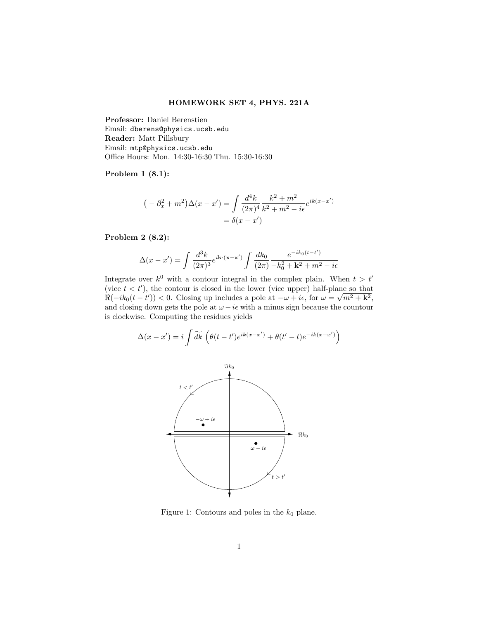Problem 1 (8.1):

$$
(-\partial_x^2 + m^2)\Delta(x - x') = \int \frac{d^4k}{(2\pi)^4} \frac{k^2 + m^2}{k^2 + m^2 - i\epsilon} e^{ik(x - x')}
$$

$$
= \delta(x - x')
$$

Problem 2 (8.2):

$$
\Delta(x - x') = \int \frac{d^3k}{(2\pi)^3} e^{i\mathbf{k} \cdot (\mathbf{x} - \mathbf{x}')} \int \frac{dk_0}{(2\pi)} \frac{e^{-ik_0(t - t')}}{-k_0^2 + \mathbf{k}^2 + m^2 - i\epsilon}
$$

Integrate over  $k^0$  with a contour integral in the complex plain. When  $t > t'$ (vice  $t < t'$ ), the contour is closed in the lower (vice upper) half-plane so that  $\Re(-ik_0(t-t')) < 0$ . Closing up includes a pole at  $-\omega + i\epsilon$ , for  $\omega = \sqrt{m^2 + k^2}$ , and closing down gets the pole at  $\omega - i\epsilon$  with a minus sign because the countour is clockwise. Computing the residues yields

$$
\Delta(x - x') = i \int \widetilde{dk} \left( \theta(t - t') e^{ik(x - x')} + \theta(t' - t) e^{-ik(x - x')} \right)
$$



Figure 1: Contours and poles in the  $k_0$  plane.